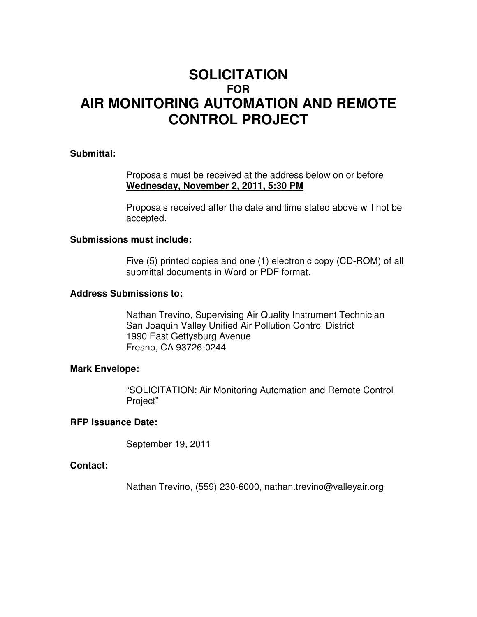# **SOLICITATION FOR AIR MONITORING AUTOMATION AND REMOTE CONTROL PROJECT**

#### **Submittal:**

#### Proposals must be received at the address below on or before **Wednesday, November 2, 2011, 5:30 PM**

Proposals received after the date and time stated above will not be accepted.

#### **Submissions must include:**

Five (5) printed copies and one (1) electronic copy (CD-ROM) of all submittal documents in Word or PDF format.

#### **Address Submissions to:**

 Nathan Trevino, Supervising Air Quality Instrument Technician San Joaquin Valley Unified Air Pollution Control District 1990 East Gettysburg Avenue Fresno, CA 93726-0244

#### **Mark Envelope:**

 "SOLICITATION: Air Monitoring Automation and Remote Control Project"

#### **RFP Issuance Date:**

September 19, 2011

#### **Contact:**

Nathan Trevino, (559) 230-6000, nathan.trevino@valleyair.org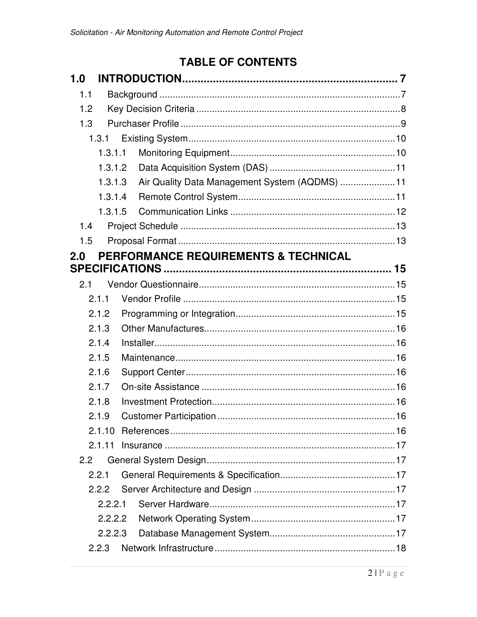# **TABLE OF CONTENTS**

| 1.0           |         |                                                 |  |
|---------------|---------|-------------------------------------------------|--|
| 1.1           |         |                                                 |  |
| 1.2           |         |                                                 |  |
| 1.3           |         |                                                 |  |
|               | 1.3.1   |                                                 |  |
|               | 1.3.1.1 |                                                 |  |
|               | 1.3.1.2 |                                                 |  |
|               | 1.3.1.3 | Air Quality Data Management System (AQDMS)  11  |  |
|               | 1.3.1.4 |                                                 |  |
|               | 1.3.1.5 |                                                 |  |
| 1.4           |         |                                                 |  |
| 1.5           |         |                                                 |  |
| 2.0           |         | <b>PERFORMANCE REQUIREMENTS &amp; TECHNICAL</b> |  |
|               |         |                                                 |  |
| 2.1           |         |                                                 |  |
|               | 2.1.1   |                                                 |  |
|               | 2.1.2   |                                                 |  |
|               | 2.1.3   |                                                 |  |
|               | 2.1.4   |                                                 |  |
|               | 2.1.5   |                                                 |  |
|               | 2.1.6   |                                                 |  |
|               | 2.1.7   |                                                 |  |
|               | 2.1.8   |                                                 |  |
|               | 2.1.9   |                                                 |  |
|               |         |                                                 |  |
|               | 2.1.11  |                                                 |  |
| $2.2^{\circ}$ |         |                                                 |  |
|               | 2.2.1   |                                                 |  |
|               | 2.2.2   |                                                 |  |
|               | 2.2.2.1 |                                                 |  |
|               | 2.2.2.2 |                                                 |  |
|               | 2.2.2.3 |                                                 |  |
|               | 2.2.3   |                                                 |  |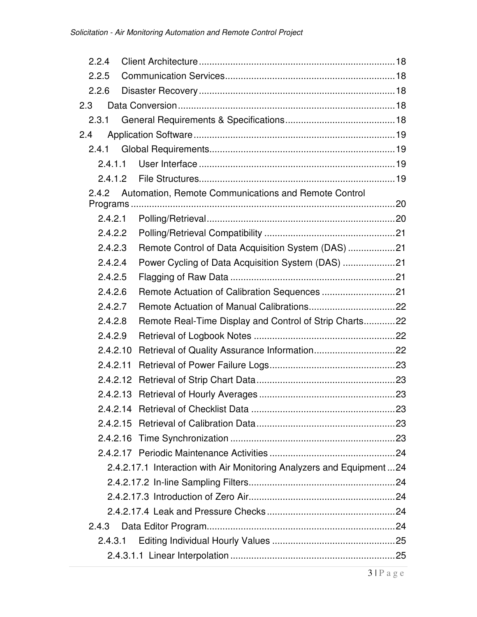| 2.2.4    |                                                                      |  |
|----------|----------------------------------------------------------------------|--|
| 2.2.5    |                                                                      |  |
| 2.2.6    |                                                                      |  |
| 2.3      |                                                                      |  |
| 2.3.1    |                                                                      |  |
| 2.4      |                                                                      |  |
| 2.4.1    |                                                                      |  |
| 2.4.1.1  |                                                                      |  |
| 2.4.1.2  |                                                                      |  |
| 2.4.2    | Automation, Remote Communications and Remote Control                 |  |
| 2.4.2.1  |                                                                      |  |
| 2.4.2.2  |                                                                      |  |
| 2.4.2.3  | Remote Control of Data Acquisition System (DAS) 21                   |  |
| 2.4.2.4  | Power Cycling of Data Acquisition System (DAS) 21                    |  |
| 2.4.2.5  |                                                                      |  |
| 2.4.2.6  |                                                                      |  |
| 2.4.2.7  |                                                                      |  |
| 2.4.2.8  | Remote Real-Time Display and Control of Strip Charts22               |  |
| 2.4.2.9  |                                                                      |  |
| 2.4.2.10 |                                                                      |  |
| 2.4.2.11 |                                                                      |  |
| 2.4.2.12 |                                                                      |  |
|          |                                                                      |  |
|          |                                                                      |  |
|          |                                                                      |  |
|          |                                                                      |  |
|          |                                                                      |  |
|          | 2.4.2.17.1 Interaction with Air Monitoring Analyzers and Equipment24 |  |
|          |                                                                      |  |
|          |                                                                      |  |
|          |                                                                      |  |
|          |                                                                      |  |
|          |                                                                      |  |
|          |                                                                      |  |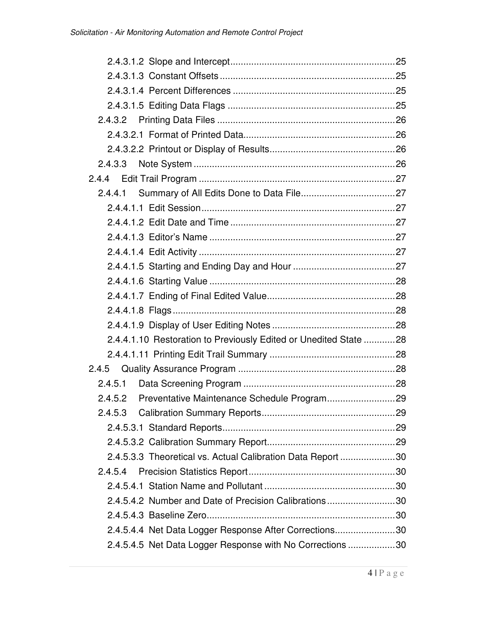| 2.4.3.3                                                          |  |
|------------------------------------------------------------------|--|
|                                                                  |  |
| 2.4.4.1                                                          |  |
|                                                                  |  |
|                                                                  |  |
|                                                                  |  |
|                                                                  |  |
|                                                                  |  |
|                                                                  |  |
|                                                                  |  |
|                                                                  |  |
|                                                                  |  |
| 2.4.4.1.10 Restoration to Previously Edited or Unedited State 28 |  |
|                                                                  |  |
|                                                                  |  |
| 2.4.5.1                                                          |  |
| 2.4.5.2 Preventative Maintenance Schedule Program29              |  |
| 2.4.5.3                                                          |  |
|                                                                  |  |
|                                                                  |  |
| 2.4.5.3.3 Theoretical vs. Actual Calibration Data Report 30      |  |
| 2.4.5.4                                                          |  |
|                                                                  |  |
| 2.4.5.4.2 Number and Date of Precision Calibrations30            |  |
|                                                                  |  |
| 2.4.5.4.4 Net Data Logger Response After Corrections30           |  |
| 2.4.5.4.5 Net Data Logger Response with No Corrections 30        |  |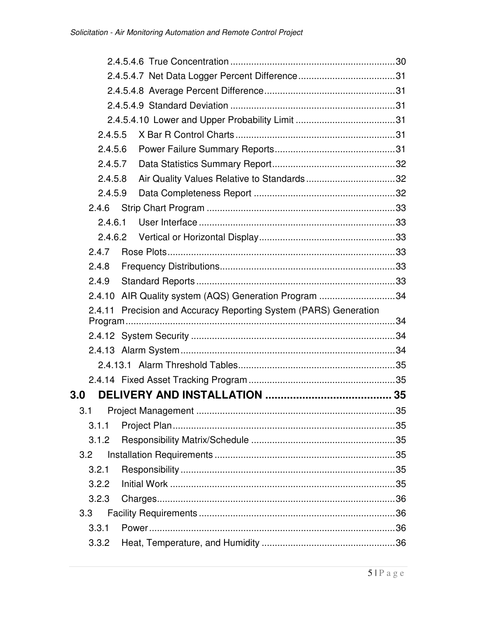| 2.4.5.5 |                                                           |  |
|---------|-----------------------------------------------------------|--|
| 2.4.5.6 |                                                           |  |
| 2.4.5.7 |                                                           |  |
| 2.4.5.8 |                                                           |  |
| 2.4.5.9 |                                                           |  |
| 2.4.6   |                                                           |  |
| 2.4.6.1 |                                                           |  |
|         |                                                           |  |
| 2.4.7   |                                                           |  |
| 2.4.8   |                                                           |  |
| 2.4.9   |                                                           |  |
|         | AIR Quality system (AQS) Generation Program 34            |  |
| 2.4.10  |                                                           |  |
| 2.4.11  | Precision and Accuracy Reporting System (PARS) Generation |  |
|         |                                                           |  |
|         |                                                           |  |
|         |                                                           |  |
|         |                                                           |  |
| 3.0     |                                                           |  |
| 3.1     |                                                           |  |
| 3.1.1   |                                                           |  |
| 3.1.2   |                                                           |  |
| 3.2     |                                                           |  |
| 3.2.1   |                                                           |  |
| 3.2.2   |                                                           |  |
| 3.2.3   |                                                           |  |
| 3.3     |                                                           |  |
| 3.3.1   |                                                           |  |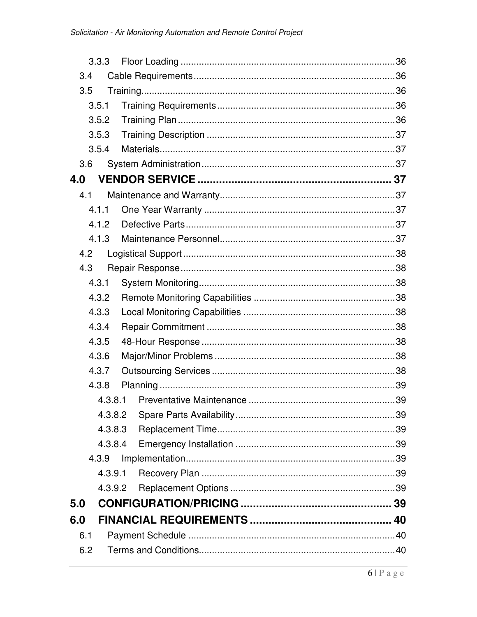|     | 3.3.3   |  |
|-----|---------|--|
| 3.4 |         |  |
| 3.5 |         |  |
|     | 3.5.1   |  |
|     | 3.5.2   |  |
|     | 3.5.3   |  |
|     | 3.5.4   |  |
| 3.6 |         |  |
| 4.0 |         |  |
| 4.1 |         |  |
|     | 4.1.1   |  |
|     | 4.1.2   |  |
|     | 4.1.3   |  |
| 4.2 |         |  |
| 4.3 |         |  |
|     | 4.3.1   |  |
|     | 4.3.2   |  |
|     | 4.3.3   |  |
|     | 4.3.4   |  |
|     | 4.3.5   |  |
|     | 4.3.6   |  |
|     | 4.3.7   |  |
|     | 4.3.8   |  |
|     |         |  |
|     |         |  |
|     |         |  |
|     | 4.3.8.4 |  |
|     | 4.3.9   |  |
|     | 4.3.9.1 |  |
|     | 4.3.9.2 |  |
| 5.0 |         |  |
| 6.0 |         |  |
| 6.1 |         |  |
| 6.2 |         |  |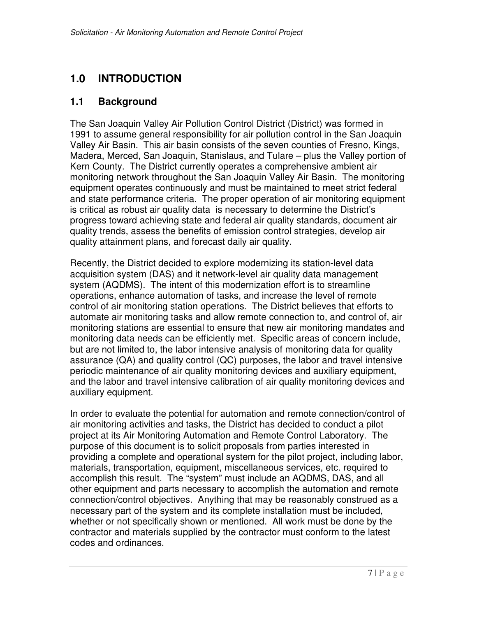# **1.0 INTRODUCTION**

### **1.1 Background**

The San Joaquin Valley Air Pollution Control District (District) was formed in 1991 to assume general responsibility for air pollution control in the San Joaquin Valley Air Basin. This air basin consists of the seven counties of Fresno, Kings, Madera, Merced, San Joaquin, Stanislaus, and Tulare – plus the Valley portion of Kern County. The District currently operates a comprehensive ambient air monitoring network throughout the San Joaquin Valley Air Basin. The monitoring equipment operates continuously and must be maintained to meet strict federal and state performance criteria. The proper operation of air monitoring equipment is critical as robust air quality data is necessary to determine the District's progress toward achieving state and federal air quality standards, document air quality trends, assess the benefits of emission control strategies, develop air quality attainment plans, and forecast daily air quality.

Recently, the District decided to explore modernizing its station-level data acquisition system (DAS) and it network-level air quality data management system (AQDMS). The intent of this modernization effort is to streamline operations, enhance automation of tasks, and increase the level of remote control of air monitoring station operations. The District believes that efforts to automate air monitoring tasks and allow remote connection to, and control of, air monitoring stations are essential to ensure that new air monitoring mandates and monitoring data needs can be efficiently met. Specific areas of concern include, but are not limited to, the labor intensive analysis of monitoring data for quality assurance (QA) and quality control (QC) purposes, the labor and travel intensive periodic maintenance of air quality monitoring devices and auxiliary equipment, and the labor and travel intensive calibration of air quality monitoring devices and auxiliary equipment.

In order to evaluate the potential for automation and remote connection/control of air monitoring activities and tasks, the District has decided to conduct a pilot project at its Air Monitoring Automation and Remote Control Laboratory. The purpose of this document is to solicit proposals from parties interested in providing a complete and operational system for the pilot project, including labor, materials, transportation, equipment, miscellaneous services, etc. required to accomplish this result. The "system" must include an AQDMS, DAS, and all other equipment and parts necessary to accomplish the automation and remote connection/control objectives. Anything that may be reasonably construed as a necessary part of the system and its complete installation must be included, whether or not specifically shown or mentioned. All work must be done by the contractor and materials supplied by the contractor must conform to the latest codes and ordinances.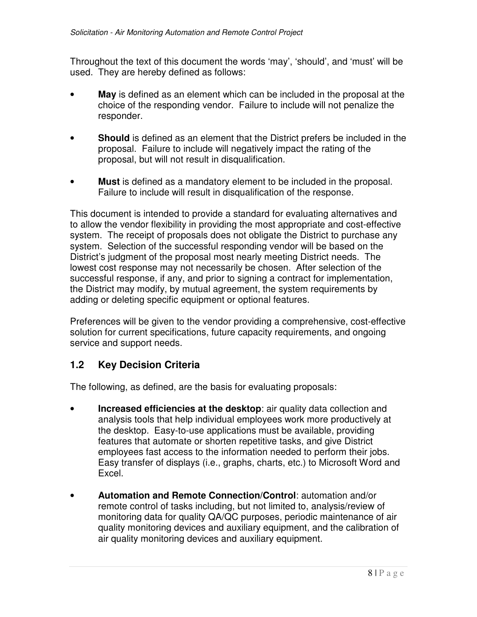Throughout the text of this document the words 'may', 'should', and 'must' will be used. They are hereby defined as follows:

- **May** is defined as an element which can be included in the proposal at the choice of the responding vendor. Failure to include will not penalize the responder.
- **Should** is defined as an element that the District prefers be included in the proposal. Failure to include will negatively impact the rating of the proposal, but will not result in disqualification.
- **Must** is defined as a mandatory element to be included in the proposal. Failure to include will result in disqualification of the response.

This document is intended to provide a standard for evaluating alternatives and to allow the vendor flexibility in providing the most appropriate and cost-effective system. The receipt of proposals does not obligate the District to purchase any system. Selection of the successful responding vendor will be based on the District's judgment of the proposal most nearly meeting District needs. The lowest cost response may not necessarily be chosen. After selection of the successful response, if any, and prior to signing a contract for implementation, the District may modify, by mutual agreement, the system requirements by adding or deleting specific equipment or optional features.

Preferences will be given to the vendor providing a comprehensive, cost-effective solution for current specifications, future capacity requirements, and ongoing service and support needs.

# **1.2 Key Decision Criteria**

The following, as defined, are the basis for evaluating proposals:

- **Increased efficiencies at the desktop**: air quality data collection and analysis tools that help individual employees work more productively at the desktop. Easy-to-use applications must be available, providing features that automate or shorten repetitive tasks, and give District employees fast access to the information needed to perform their jobs. Easy transfer of displays (i.e., graphs, charts, etc.) to Microsoft Word and Excel.
- **Automation and Remote Connection/Control**: automation and/or remote control of tasks including, but not limited to, analysis/review of monitoring data for quality QA/QC purposes, periodic maintenance of air quality monitoring devices and auxiliary equipment, and the calibration of air quality monitoring devices and auxiliary equipment.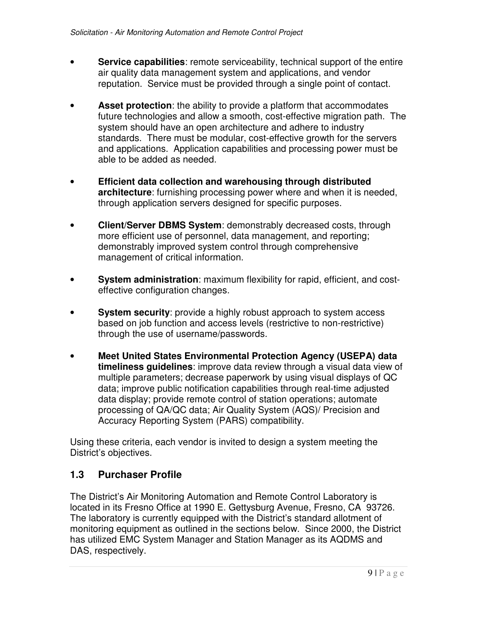- **Service capabilities**: remote serviceability, technical support of the entire air quality data management system and applications, and vendor reputation. Service must be provided through a single point of contact.
- **Asset protection**: the ability to provide a platform that accommodates future technologies and allow a smooth, cost-effective migration path. The system should have an open architecture and adhere to industry standards. There must be modular, cost-effective growth for the servers and applications. Application capabilities and processing power must be able to be added as needed.
- **Efficient data collection and warehousing through distributed architecture**: furnishing processing power where and when it is needed, through application servers designed for specific purposes.
- **Client/Server DBMS System**: demonstrably decreased costs, through more efficient use of personnel, data management, and reporting; demonstrably improved system control through comprehensive management of critical information.
- **System administration**: maximum flexibility for rapid, efficient, and costeffective configuration changes.
- **System security**: provide a highly robust approach to system access based on job function and access levels (restrictive to non-restrictive) through the use of username/passwords.
- **Meet United States Environmental Protection Agency (USEPA) data timeliness guidelines**: improve data review through a visual data view of multiple parameters; decrease paperwork by using visual displays of QC data; improve public notification capabilities through real-time adjusted data display; provide remote control of station operations; automate processing of QA/QC data; Air Quality System (AQS)/ Precision and Accuracy Reporting System (PARS) compatibility.

Using these criteria, each vendor is invited to design a system meeting the District's objectives.

# **1.3 Purchaser Profile**

The District's Air Monitoring Automation and Remote Control Laboratory is located in its Fresno Office at 1990 E. Gettysburg Avenue, Fresno, CA 93726. The laboratory is currently equipped with the District's standard allotment of monitoring equipment as outlined in the sections below. Since 2000, the District has utilized EMC System Manager and Station Manager as its AQDMS and DAS, respectively.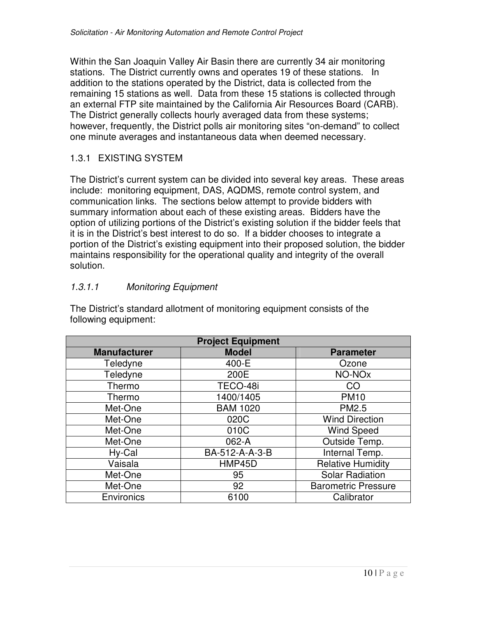Within the San Joaquin Valley Air Basin there are currently 34 air monitoring stations. The District currently owns and operates 19 of these stations. In addition to the stations operated by the District, data is collected from the remaining 15 stations as well. Data from these 15 stations is collected through an external FTP site maintained by the California Air Resources Board (CARB). The District generally collects hourly averaged data from these systems; however, frequently, the District polls air monitoring sites "on-demand" to collect one minute averages and instantaneous data when deemed necessary.

### 1.3.1 EXISTING SYSTEM

The District's current system can be divided into several key areas. These areas include: monitoring equipment, DAS, AQDMS, remote control system, and communication links. The sections below attempt to provide bidders with summary information about each of these existing areas. Bidders have the option of utilizing portions of the District's existing solution if the bidder feels that it is in the District's best interest to do so. If a bidder chooses to integrate a portion of the District's existing equipment into their proposed solution, the bidder maintains responsibility for the operational quality and integrity of the overall solution.

### 1.3.1.1 Monitoring Equipment

The District's standard allotment of monitoring equipment consists of the following equipment:

| <b>Project Equipment</b> |                 |                            |  |
|--------------------------|-----------------|----------------------------|--|
| <b>Manufacturer</b>      | <b>Model</b>    | <b>Parameter</b>           |  |
| Teledyne                 | 400-E           | Ozone                      |  |
| Teledyne                 | 200E            | NO-NO <sub>x</sub>         |  |
| Thermo                   | TECO-48i        | CO                         |  |
| Thermo                   | 1400/1405       | <b>PM10</b>                |  |
| Met-One                  | <b>BAM 1020</b> | PM2.5                      |  |
| Met-One                  | 020C            | <b>Wind Direction</b>      |  |
| Met-One                  | 010C            | <b>Wind Speed</b>          |  |
| Met-One                  | 062-A           | Outside Temp.              |  |
| Hy-Cal                   | BA-512-A-A-3-B  | Internal Temp.             |  |
| Vaisala                  | HMP45D          | <b>Relative Humidity</b>   |  |
| Met-One                  | 95              | <b>Solar Radiation</b>     |  |
| Met-One                  | 92              | <b>Barometric Pressure</b> |  |
| Environics               | 6100            | Calibrator                 |  |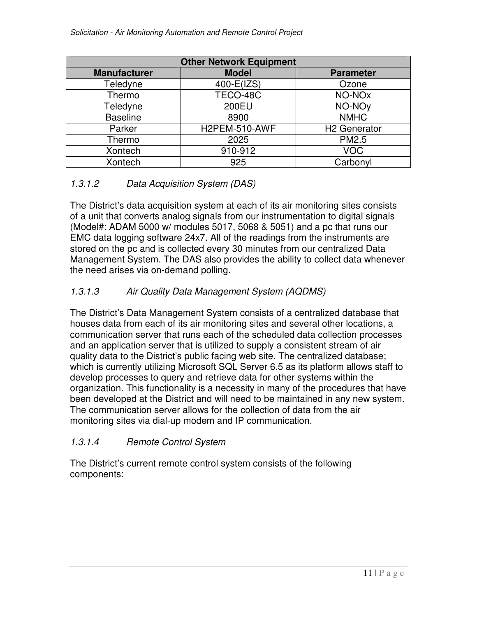| <b>Other Network Equipment</b> |                      |                          |  |
|--------------------------------|----------------------|--------------------------|--|
| <b>Manufacturer</b>            | <b>Model</b>         | <b>Parameter</b>         |  |
| Teledyne                       | $400-E(IZS)$         | Ozone                    |  |
| Thermo                         | TECO-48C             | NO-NO <sub>x</sub>       |  |
| Teledyne                       | 200EU                | NO-NO <sub>V</sub>       |  |
| <b>Baseline</b>                | 8900                 | <b>NMHC</b>              |  |
| Parker                         | <b>H2PEM-510-AWF</b> | H <sub>2</sub> Generator |  |
| Thermo                         | 2025                 | <b>PM2.5</b>             |  |
| <b>Xontech</b>                 | 910-912              | <b>VOC</b>               |  |
| <b>Xontech</b>                 | 925                  | Carbonyl                 |  |

### 1.3.1.2 Data Acquisition System (DAS)

The District's data acquisition system at each of its air monitoring sites consists of a unit that converts analog signals from our instrumentation to digital signals (Model#: ADAM 5000 w/ modules 5017, 5068 & 5051) and a pc that runs our EMC data logging software 24x7. All of the readings from the instruments are stored on the pc and is collected every 30 minutes from our centralized Data Management System. The DAS also provides the ability to collect data whenever the need arises via on-demand polling.

### 1.3.1.3 Air Quality Data Management System (AQDMS)

The District's Data Management System consists of a centralized database that houses data from each of its air monitoring sites and several other locations, a communication server that runs each of the scheduled data collection processes and an application server that is utilized to supply a consistent stream of air quality data to the District's public facing web site. The centralized database; which is currently utilizing Microsoft SQL Server 6.5 as its platform allows staff to develop processes to query and retrieve data for other systems within the organization. This functionality is a necessity in many of the procedures that have been developed at the District and will need to be maintained in any new system. The communication server allows for the collection of data from the air monitoring sites via dial-up modem and IP communication.

### 1.3.1.4 Remote Control System

The District's current remote control system consists of the following components: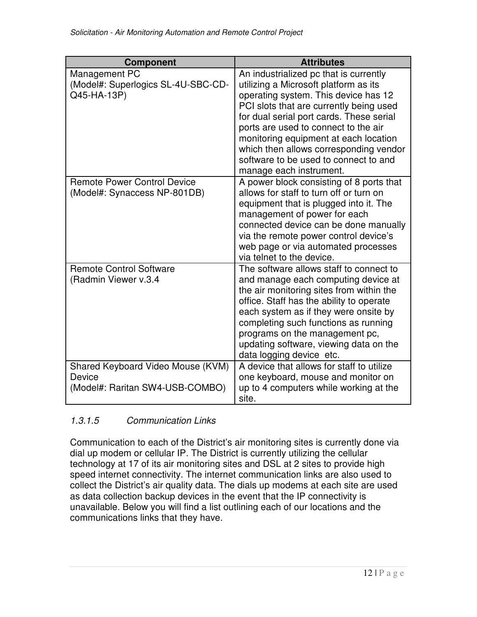| <b>Component</b>                                                               | <b>Attributes</b>                                                                                                                                                                                                                                                                                                                                                                                             |
|--------------------------------------------------------------------------------|---------------------------------------------------------------------------------------------------------------------------------------------------------------------------------------------------------------------------------------------------------------------------------------------------------------------------------------------------------------------------------------------------------------|
| Management PC<br>(Model#: Superlogics SL-4U-SBC-CD-<br>Q45-HA-13P)             | An industrialized pc that is currently<br>utilizing a Microsoft platform as its<br>operating system. This device has 12<br>PCI slots that are currently being used<br>for dual serial port cards. These serial<br>ports are used to connect to the air<br>monitoring equipment at each location<br>which then allows corresponding vendor<br>software to be used to connect to and<br>manage each instrument. |
| <b>Remote Power Control Device</b><br>(Model#: Synaccess NP-801DB)             | A power block consisting of 8 ports that<br>allows for staff to turn off or turn on<br>equipment that is plugged into it. The<br>management of power for each<br>connected device can be done manually<br>via the remote power control device's<br>web page or via automated processes<br>via telnet to the device.                                                                                           |
| <b>Remote Control Software</b><br>(Radmin Viewer v.3.4                         | The software allows staff to connect to<br>and manage each computing device at<br>the air monitoring sites from within the<br>office. Staff has the ability to operate<br>each system as if they were onsite by<br>completing such functions as running<br>programs on the management pc,<br>updating software, viewing data on the<br>data logging device etc.                                               |
| Shared Keyboard Video Mouse (KVM)<br>Device<br>(Model#: Raritan SW4-USB-COMBO) | A device that allows for staff to utilize<br>one keyboard, mouse and monitor on<br>up to 4 computers while working at the<br>site.                                                                                                                                                                                                                                                                            |

# 1.3.1.5 Communication Links

Communication to each of the District's air monitoring sites is currently done via dial up modem or cellular IP. The District is currently utilizing the cellular technology at 17 of its air monitoring sites and DSL at 2 sites to provide high speed internet connectivity. The internet communication links are also used to collect the District's air quality data. The dials up modems at each site are used as data collection backup devices in the event that the IP connectivity is unavailable. Below you will find a list outlining each of our locations and the communications links that they have.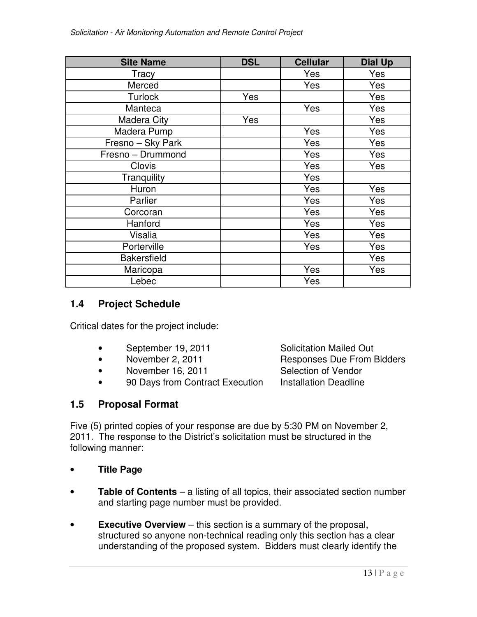| <b>Site Name</b>   | <b>DSL</b> | <b>Cellular</b> | <b>Dial Up</b> |
|--------------------|------------|-----------------|----------------|
| Tracy              |            | Yes             | Yes            |
| Merced             |            | Yes             | Yes            |
| <b>Turlock</b>     | Yes        |                 | Yes            |
| Manteca            |            | Yes             | Yes            |
| Madera City        | Yes        |                 | Yes            |
| Madera Pump        |            | Yes             | Yes            |
| Fresno - Sky Park  |            | Yes             | Yes            |
| Fresno - Drummond  |            | Yes             | Yes            |
| Clovis             |            | Yes             | Yes            |
| Tranquility        |            | Yes             |                |
| Huron              |            | Yes             | Yes            |
| Parlier            |            | Yes             | Yes            |
| Corcoran           |            | Yes             | Yes            |
| Hanford            |            | Yes             | Yes            |
| <b>Visalia</b>     |            | Yes             | Yes            |
| Porterville        |            | Yes             | Yes            |
| <b>Bakersfield</b> |            |                 | Yes            |
| Maricopa           |            | Yes             | Yes            |
| Lebec              |            | Yes             |                |

### **1.4 Project Schedule**

Critical dates for the project include:

- September 19, 2011 Solicitation Mailed Out
- 
- November 16, 2011 Selection of Vendor
- 90 Days from Contract Execution Installation Deadline

• November 2, 2011 Responses Due From Bidders

# **1.5 Proposal Format**

Five (5) printed copies of your response are due by 5:30 PM on November 2, 2011. The response to the District's solicitation must be structured in the following manner:

- **Title Page**
- **Table of Contents** a listing of all topics, their associated section number and starting page number must be provided.
- **Executive Overview** this section is a summary of the proposal, structured so anyone non-technical reading only this section has a clear understanding of the proposed system. Bidders must clearly identify the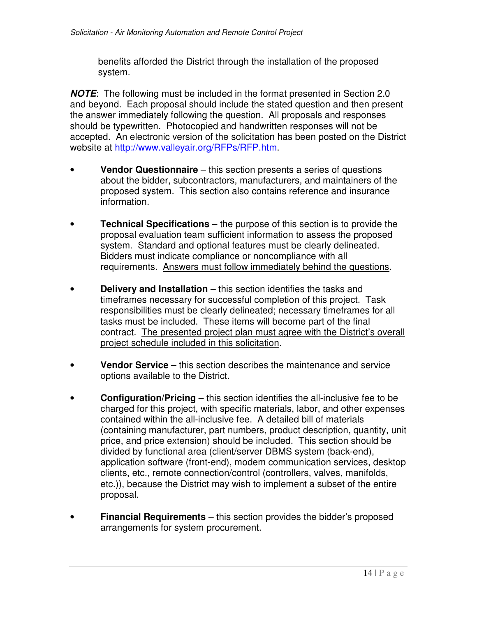benefits afforded the District through the installation of the proposed system.

**NOTE**: The following must be included in the format presented in Section 2.0 and beyond. Each proposal should include the stated question and then present the answer immediately following the question. All proposals and responses should be typewritten. Photocopied and handwritten responses will not be accepted. An electronic version of the solicitation has been posted on the District website at http://www.valleyair.org/RFPs/RFP.htm.

- **Vendor Questionnaire** this section presents a series of questions about the bidder, subcontractors, manufacturers, and maintainers of the proposed system. This section also contains reference and insurance information.
- **Technical Specifications** the purpose of this section is to provide the proposal evaluation team sufficient information to assess the proposed system. Standard and optional features must be clearly delineated. Bidders must indicate compliance or noncompliance with all requirements. Answers must follow immediately behind the questions.
- **Delivery and Installation** this section identifies the tasks and timeframes necessary for successful completion of this project. Task responsibilities must be clearly delineated; necessary timeframes for all tasks must be included. These items will become part of the final contract. The presented project plan must agree with the District's overall project schedule included in this solicitation.
- **Vendor Service** this section describes the maintenance and service options available to the District.
- **Configuration/Pricing** this section identifies the all-inclusive fee to be charged for this project, with specific materials, labor, and other expenses contained within the all-inclusive fee. A detailed bill of materials (containing manufacturer, part numbers, product description, quantity, unit price, and price extension) should be included. This section should be divided by functional area (client/server DBMS system (back-end), application software (front-end), modem communication services, desktop clients, etc., remote connection/control (controllers, valves, manifolds, etc.)), because the District may wish to implement a subset of the entire proposal.
- **Financial Requirements** this section provides the bidder's proposed arrangements for system procurement.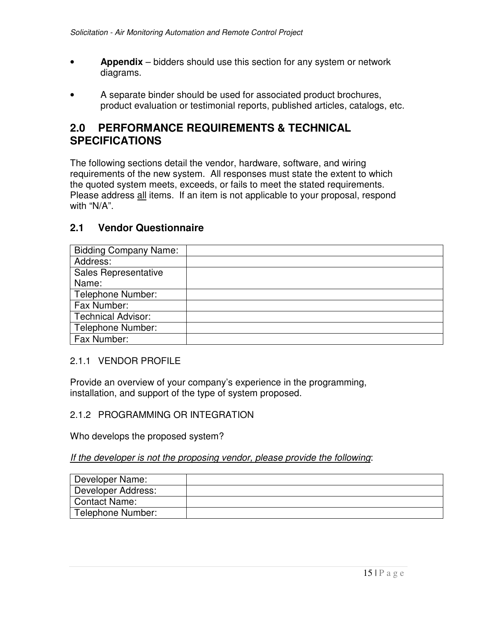- **Appendix**  bidders should use this section for any system or network diagrams.
- A separate binder should be used for associated product brochures, product evaluation or testimonial reports, published articles, catalogs, etc.

# **2.0 PERFORMANCE REQUIREMENTS & TECHNICAL SPECIFICATIONS**

The following sections detail the vendor, hardware, software, and wiring requirements of the new system. All responses must state the extent to which the quoted system meets, exceeds, or fails to meet the stated requirements. Please address all items. If an item is not applicable to your proposal, respond with "N/A".

### **2.1 Vendor Questionnaire**

| <b>Bidding Company Name:</b> |  |
|------------------------------|--|
| Address:                     |  |
| Sales Representative         |  |
| Name:                        |  |
| Telephone Number:            |  |
| Fax Number:                  |  |
| <b>Technical Advisor:</b>    |  |
| <b>Telephone Number:</b>     |  |
| Fax Number:                  |  |

#### 2.1.1 VENDOR PROFILE

Provide an overview of your company's experience in the programming, installation, and support of the type of system proposed.

#### 2.1.2 PROGRAMMING OR INTEGRATION

Who develops the proposed system?

#### If the developer is not the proposing vendor, please provide the following:

| Developer Name:      |  |
|----------------------|--|
| Developer Address:   |  |
| <b>Contact Name:</b> |  |
| Telephone Number:    |  |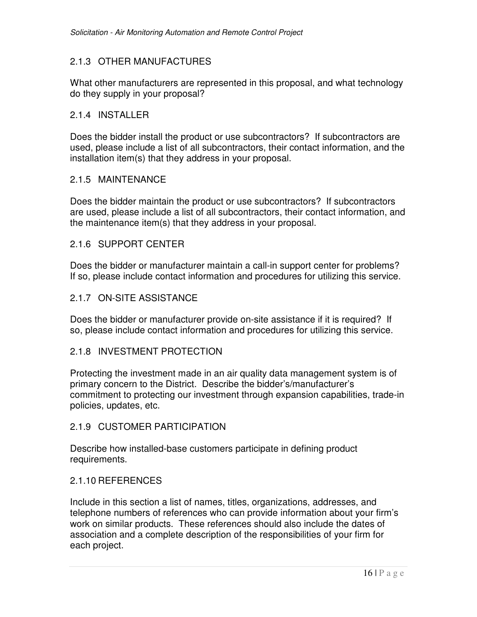### 2.1.3 OTHER MANUFACTURES

What other manufacturers are represented in this proposal, and what technology do they supply in your proposal?

#### 2.1.4 INSTALLER

Does the bidder install the product or use subcontractors? If subcontractors are used, please include a list of all subcontractors, their contact information, and the installation item(s) that they address in your proposal.

#### 2.1.5 MAINTENANCE

Does the bidder maintain the product or use subcontractors? If subcontractors are used, please include a list of all subcontractors, their contact information, and the maintenance item(s) that they address in your proposal.

#### 2.1.6 SUPPORT CENTER

Does the bidder or manufacturer maintain a call-in support center for problems? If so, please include contact information and procedures for utilizing this service.

#### 2.1.7 ON-SITE ASSISTANCE

Does the bidder or manufacturer provide on-site assistance if it is required? If so, please include contact information and procedures for utilizing this service.

#### 2.1.8 INVESTMENT PROTECTION

Protecting the investment made in an air quality data management system is of primary concern to the District. Describe the bidder's/manufacturer's commitment to protecting our investment through expansion capabilities, trade-in policies, updates, etc.

#### 2.1.9 CUSTOMER PARTICIPATION

Describe how installed-base customers participate in defining product requirements.

### 2.1.10 REFERENCES

Include in this section a list of names, titles, organizations, addresses, and telephone numbers of references who can provide information about your firm's work on similar products. These references should also include the dates of association and a complete description of the responsibilities of your firm for each project.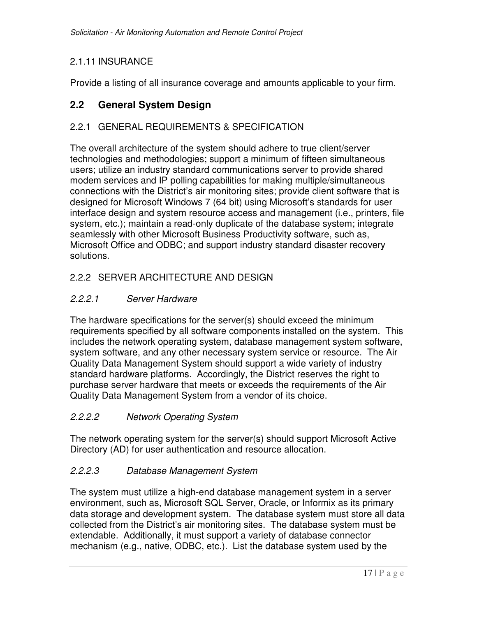### 2.1.11 INSURANCE

Provide a listing of all insurance coverage and amounts applicable to your firm.

### **2.2 General System Design**

### 2.2.1 GENERAL REQUIREMENTS & SPECIFICATION

The overall architecture of the system should adhere to true client/server technologies and methodologies; support a minimum of fifteen simultaneous users; utilize an industry standard communications server to provide shared modem services and IP polling capabilities for making multiple/simultaneous connections with the District's air monitoring sites; provide client software that is designed for Microsoft Windows 7 (64 bit) using Microsoft's standards for user interface design and system resource access and management (i.e., printers, file system, etc.); maintain a read-only duplicate of the database system; integrate seamlessly with other Microsoft Business Productivity software, such as, Microsoft Office and ODBC; and support industry standard disaster recovery solutions.

### 2.2.2 SERVER ARCHITECTURE AND DESIGN

### 2.2.2.1 Server Hardware

The hardware specifications for the server(s) should exceed the minimum requirements specified by all software components installed on the system. This includes the network operating system, database management system software, system software, and any other necessary system service or resource. The Air Quality Data Management System should support a wide variety of industry standard hardware platforms. Accordingly, the District reserves the right to purchase server hardware that meets or exceeds the requirements of the Air Quality Data Management System from a vendor of its choice.

### 2.2.2.2 Network Operating System

The network operating system for the server(s) should support Microsoft Active Directory (AD) for user authentication and resource allocation.

### 2.2.2.3 Database Management System

The system must utilize a high-end database management system in a server environment, such as, Microsoft SQL Server, Oracle, or Informix as its primary data storage and development system. The database system must store all data collected from the District's air monitoring sites. The database system must be extendable. Additionally, it must support a variety of database connector mechanism (e.g., native, ODBC, etc.). List the database system used by the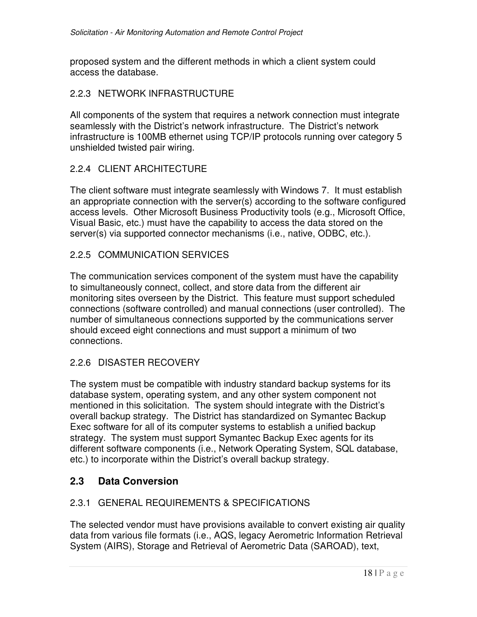proposed system and the different methods in which a client system could access the database.

### 2.2.3 NETWORK INFRASTRUCTURE

All components of the system that requires a network connection must integrate seamlessly with the District's network infrastructure. The District's network infrastructure is 100MB ethernet using TCP/IP protocols running over category 5 unshielded twisted pair wiring.

### 2.2.4 CLIENT ARCHITECTURE

The client software must integrate seamlessly with Windows 7. It must establish an appropriate connection with the server(s) according to the software configured access levels. Other Microsoft Business Productivity tools (e.g., Microsoft Office, Visual Basic, etc.) must have the capability to access the data stored on the server(s) via supported connector mechanisms (i.e., native, ODBC, etc.).

#### 2.2.5 COMMUNICATION SERVICES

The communication services component of the system must have the capability to simultaneously connect, collect, and store data from the different air monitoring sites overseen by the District. This feature must support scheduled connections (software controlled) and manual connections (user controlled). The number of simultaneous connections supported by the communications server should exceed eight connections and must support a minimum of two connections.

### 2.2.6 DISASTER RECOVERY

The system must be compatible with industry standard backup systems for its database system, operating system, and any other system component not mentioned in this solicitation. The system should integrate with the District's overall backup strategy. The District has standardized on Symantec Backup Exec software for all of its computer systems to establish a unified backup strategy. The system must support Symantec Backup Exec agents for its different software components (i.e., Network Operating System, SQL database, etc.) to incorporate within the District's overall backup strategy.

### **2.3 Data Conversion**

### 2.3.1 GENERAL REQUIREMENTS & SPECIFICATIONS

The selected vendor must have provisions available to convert existing air quality data from various file formats (i.e., AQS, legacy Aerometric Information Retrieval System (AIRS), Storage and Retrieval of Aerometric Data (SAROAD), text,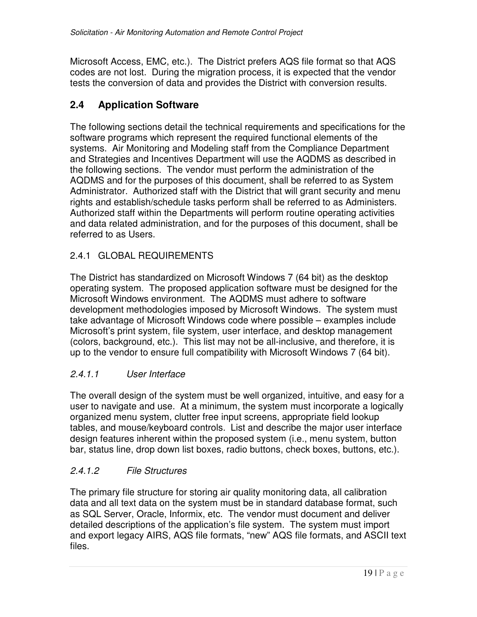Microsoft Access, EMC, etc.). The District prefers AQS file format so that AQS codes are not lost. During the migration process, it is expected that the vendor tests the conversion of data and provides the District with conversion results.

## **2.4 Application Software**

The following sections detail the technical requirements and specifications for the software programs which represent the required functional elements of the systems. Air Monitoring and Modeling staff from the Compliance Department and Strategies and Incentives Department will use the AQDMS as described in the following sections. The vendor must perform the administration of the AQDMS and for the purposes of this document, shall be referred to as System Administrator. Authorized staff with the District that will grant security and menu rights and establish/schedule tasks perform shall be referred to as Administers. Authorized staff within the Departments will perform routine operating activities and data related administration, and for the purposes of this document, shall be referred to as Users.

### 2.4.1 GLOBAL REQUIREMENTS

The District has standardized on Microsoft Windows 7 (64 bit) as the desktop operating system. The proposed application software must be designed for the Microsoft Windows environment. The AQDMS must adhere to software development methodologies imposed by Microsoft Windows. The system must take advantage of Microsoft Windows code where possible – examples include Microsoft's print system, file system, user interface, and desktop management (colors, background, etc.). This list may not be all-inclusive, and therefore, it is up to the vendor to ensure full compatibility with Microsoft Windows 7 (64 bit).

### 2.4.1.1 User Interface

The overall design of the system must be well organized, intuitive, and easy for a user to navigate and use. At a minimum, the system must incorporate a logically organized menu system, clutter free input screens, appropriate field lookup tables, and mouse/keyboard controls. List and describe the major user interface design features inherent within the proposed system (i.e., menu system, button bar, status line, drop down list boxes, radio buttons, check boxes, buttons, etc.).

### 2.4.1.2 File Structures

The primary file structure for storing air quality monitoring data, all calibration data and all text data on the system must be in standard database format, such as SQL Server, Oracle, Informix, etc. The vendor must document and deliver detailed descriptions of the application's file system. The system must import and export legacy AIRS, AQS file formats, "new" AQS file formats, and ASCII text files.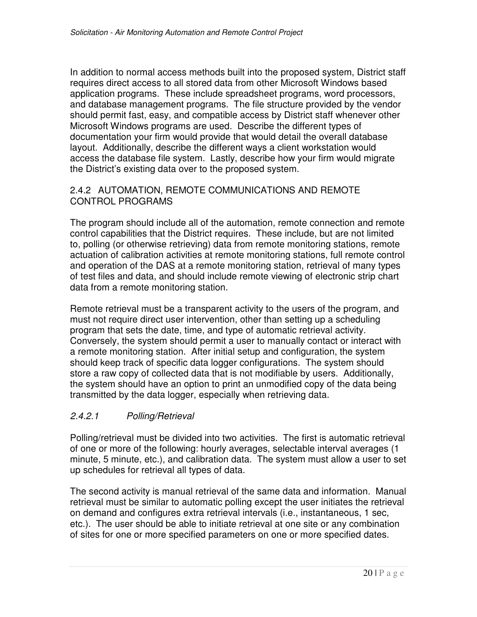In addition to normal access methods built into the proposed system, District staff requires direct access to all stored data from other Microsoft Windows based application programs. These include spreadsheet programs, word processors, and database management programs. The file structure provided by the vendor should permit fast, easy, and compatible access by District staff whenever other Microsoft Windows programs are used. Describe the different types of documentation your firm would provide that would detail the overall database layout. Additionally, describe the different ways a client workstation would access the database file system. Lastly, describe how your firm would migrate the District's existing data over to the proposed system.

#### 2.4.2 AUTOMATION, REMOTE COMMUNICATIONS AND REMOTE CONTROL PROGRAMS

The program should include all of the automation, remote connection and remote control capabilities that the District requires. These include, but are not limited to, polling (or otherwise retrieving) data from remote monitoring stations, remote actuation of calibration activities at remote monitoring stations, full remote control and operation of the DAS at a remote monitoring station, retrieval of many types of test files and data, and should include remote viewing of electronic strip chart data from a remote monitoring station.

Remote retrieval must be a transparent activity to the users of the program, and must not require direct user intervention, other than setting up a scheduling program that sets the date, time, and type of automatic retrieval activity. Conversely, the system should permit a user to manually contact or interact with a remote monitoring station. After initial setup and configuration, the system should keep track of specific data logger configurations. The system should store a raw copy of collected data that is not modifiable by users. Additionally, the system should have an option to print an unmodified copy of the data being transmitted by the data logger, especially when retrieving data.

### 2.4.2.1 Polling/Retrieval

Polling/retrieval must be divided into two activities. The first is automatic retrieval of one or more of the following: hourly averages, selectable interval averages (1 minute, 5 minute, etc.), and calibration data. The system must allow a user to set up schedules for retrieval all types of data.

The second activity is manual retrieval of the same data and information. Manual retrieval must be similar to automatic polling except the user initiates the retrieval on demand and configures extra retrieval intervals (i.e., instantaneous, 1 sec, etc.). The user should be able to initiate retrieval at one site or any combination of sites for one or more specified parameters on one or more specified dates.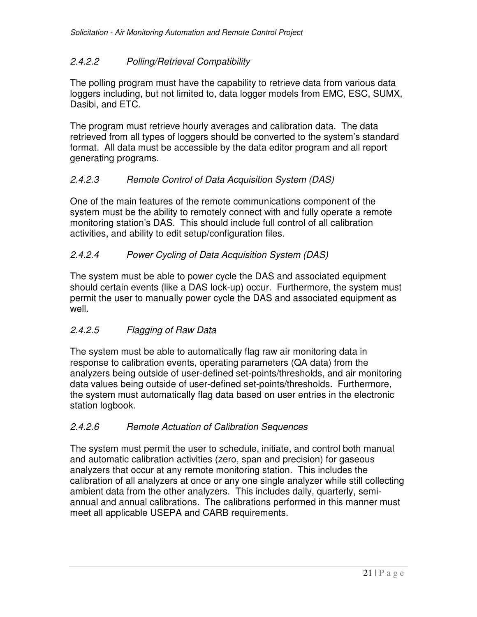### 2.4.2.2 Polling/Retrieval Compatibility

The polling program must have the capability to retrieve data from various data loggers including, but not limited to, data logger models from EMC, ESC, SUMX, Dasibi, and ETC.

The program must retrieve hourly averages and calibration data. The data retrieved from all types of loggers should be converted to the system's standard format. All data must be accessible by the data editor program and all report generating programs.

### 2.4.2.3 Remote Control of Data Acquisition System (DAS)

One of the main features of the remote communications component of the system must be the ability to remotely connect with and fully operate a remote monitoring station's DAS. This should include full control of all calibration activities, and ability to edit setup/configuration files.

### 2.4.2.4 Power Cycling of Data Acquisition System (DAS)

The system must be able to power cycle the DAS and associated equipment should certain events (like a DAS lock-up) occur. Furthermore, the system must permit the user to manually power cycle the DAS and associated equipment as well.

### 2.4.2.5 Flagging of Raw Data

The system must be able to automatically flag raw air monitoring data in response to calibration events, operating parameters (QA data) from the analyzers being outside of user-defined set-points/thresholds, and air monitoring data values being outside of user-defined set-points/thresholds. Furthermore, the system must automatically flag data based on user entries in the electronic station logbook.

### 2.4.2.6 Remote Actuation of Calibration Sequences

The system must permit the user to schedule, initiate, and control both manual and automatic calibration activities (zero, span and precision) for gaseous analyzers that occur at any remote monitoring station. This includes the calibration of all analyzers at once or any one single analyzer while still collecting ambient data from the other analyzers. This includes daily, quarterly, semiannual and annual calibrations. The calibrations performed in this manner must meet all applicable USEPA and CARB requirements.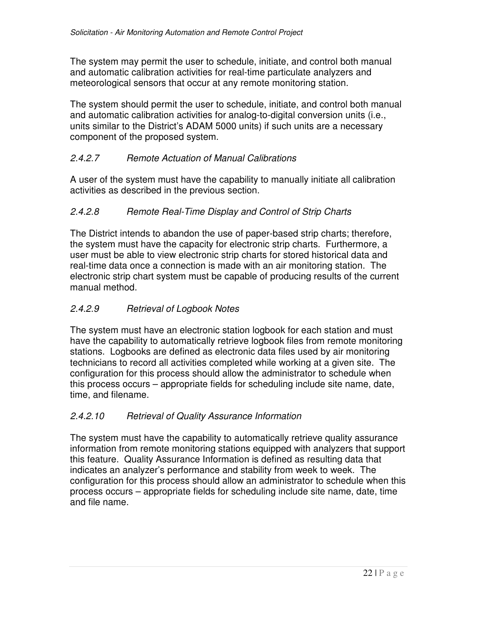The system may permit the user to schedule, initiate, and control both manual and automatic calibration activities for real-time particulate analyzers and meteorological sensors that occur at any remote monitoring station.

The system should permit the user to schedule, initiate, and control both manual and automatic calibration activities for analog-to-digital conversion units (i.e., units similar to the District's ADAM 5000 units) if such units are a necessary component of the proposed system.

### 2.4.2.7 Remote Actuation of Manual Calibrations

A user of the system must have the capability to manually initiate all calibration activities as described in the previous section.

### 2.4.2.8 Remote Real-Time Display and Control of Strip Charts

The District intends to abandon the use of paper-based strip charts; therefore, the system must have the capacity for electronic strip charts. Furthermore, a user must be able to view electronic strip charts for stored historical data and real-time data once a connection is made with an air monitoring station. The electronic strip chart system must be capable of producing results of the current manual method.

### 2.4.2.9 Retrieval of Logbook Notes

The system must have an electronic station logbook for each station and must have the capability to automatically retrieve logbook files from remote monitoring stations. Logbooks are defined as electronic data files used by air monitoring technicians to record all activities completed while working at a given site. The configuration for this process should allow the administrator to schedule when this process occurs – appropriate fields for scheduling include site name, date, time, and filename.

### 2.4.2.10 Retrieval of Quality Assurance Information

The system must have the capability to automatically retrieve quality assurance information from remote monitoring stations equipped with analyzers that support this feature. Quality Assurance Information is defined as resulting data that indicates an analyzer's performance and stability from week to week. The configuration for this process should allow an administrator to schedule when this process occurs – appropriate fields for scheduling include site name, date, time and file name.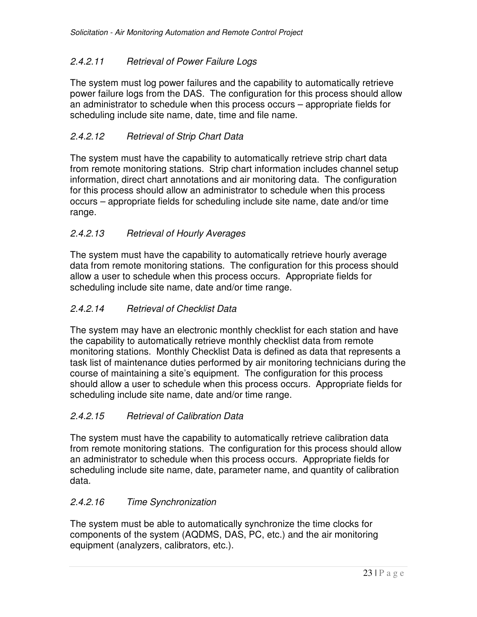### 2.4.2.11 Retrieval of Power Failure Logs

The system must log power failures and the capability to automatically retrieve power failure logs from the DAS. The configuration for this process should allow an administrator to schedule when this process occurs – appropriate fields for scheduling include site name, date, time and file name.

### 2.4.2.12 Retrieval of Strip Chart Data

The system must have the capability to automatically retrieve strip chart data from remote monitoring stations. Strip chart information includes channel setup information, direct chart annotations and air monitoring data. The configuration for this process should allow an administrator to schedule when this process occurs – appropriate fields for scheduling include site name, date and/or time range.

### 2.4.2.13 Retrieval of Hourly Averages

The system must have the capability to automatically retrieve hourly average data from remote monitoring stations. The configuration for this process should allow a user to schedule when this process occurs. Appropriate fields for scheduling include site name, date and/or time range.

### 2.4.2.14 Retrieval of Checklist Data

The system may have an electronic monthly checklist for each station and have the capability to automatically retrieve monthly checklist data from remote monitoring stations. Monthly Checklist Data is defined as data that represents a task list of maintenance duties performed by air monitoring technicians during the course of maintaining a site's equipment. The configuration for this process should allow a user to schedule when this process occurs. Appropriate fields for scheduling include site name, date and/or time range.

### 2.4.2.15 Retrieval of Calibration Data

The system must have the capability to automatically retrieve calibration data from remote monitoring stations. The configuration for this process should allow an administrator to schedule when this process occurs. Appropriate fields for scheduling include site name, date, parameter name, and quantity of calibration data.

### 2.4.2.16 Time Synchronization

The system must be able to automatically synchronize the time clocks for components of the system (AQDMS, DAS, PC, etc.) and the air monitoring equipment (analyzers, calibrators, etc.).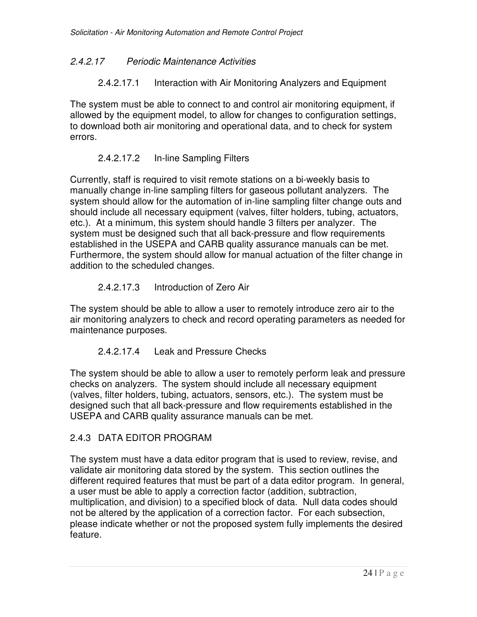### 2.4.2.17 Periodic Maintenance Activities

### 2.4.2.17.1 Interaction with Air Monitoring Analyzers and Equipment

The system must be able to connect to and control air monitoring equipment, if allowed by the equipment model, to allow for changes to configuration settings, to download both air monitoring and operational data, and to check for system errors.

### 2.4.2.17.2 In-line Sampling Filters

Currently, staff is required to visit remote stations on a bi-weekly basis to manually change in-line sampling filters for gaseous pollutant analyzers. The system should allow for the automation of in-line sampling filter change outs and should include all necessary equipment (valves, filter holders, tubing, actuators, etc.). At a minimum, this system should handle 3 filters per analyzer. The system must be designed such that all back-pressure and flow requirements established in the USEPA and CARB quality assurance manuals can be met. Furthermore, the system should allow for manual actuation of the filter change in addition to the scheduled changes.

### 2.4.2.17.3 Introduction of Zero Air

The system should be able to allow a user to remotely introduce zero air to the air monitoring analyzers to check and record operating parameters as needed for maintenance purposes.

### 2.4.2.17.4 Leak and Pressure Checks

The system should be able to allow a user to remotely perform leak and pressure checks on analyzers. The system should include all necessary equipment (valves, filter holders, tubing, actuators, sensors, etc.). The system must be designed such that all back-pressure and flow requirements established in the USEPA and CARB quality assurance manuals can be met.

### 2.4.3 DATA EDITOR PROGRAM

The system must have a data editor program that is used to review, revise, and validate air monitoring data stored by the system. This section outlines the different required features that must be part of a data editor program. In general, a user must be able to apply a correction factor (addition, subtraction, multiplication, and division) to a specified block of data. Null data codes should not be altered by the application of a correction factor. For each subsection, please indicate whether or not the proposed system fully implements the desired feature.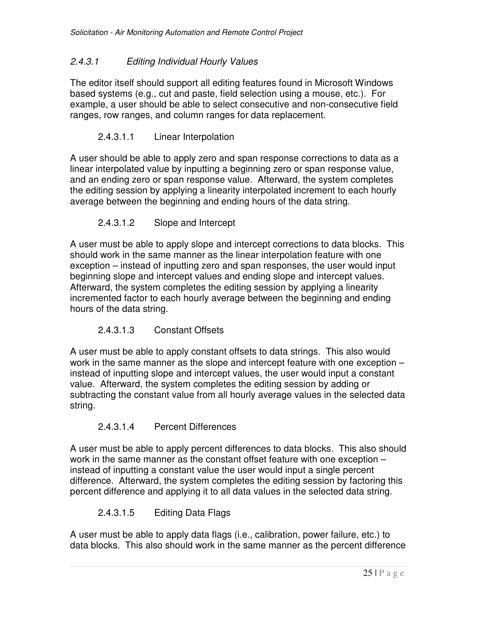### 2.4.3.1 Editing Individual Hourly Values

The editor itself should support all editing features found in Microsoft Windows based systems (e.g., cut and paste, field selection using a mouse, etc.). For example, a user should be able to select consecutive and non-consecutive field ranges, row ranges, and column ranges for data replacement.

### 2.4.3.1.1 Linear Interpolation

A user should be able to apply zero and span response corrections to data as a linear interpolated value by inputting a beginning zero or span response value, and an ending zero or span response value. Afterward, the system completes the editing session by applying a linearity interpolated increment to each hourly average between the beginning and ending hours of the data string.

### 2.4.3.1.2 Slope and Intercept

A user must be able to apply slope and intercept corrections to data blocks. This should work in the same manner as the linear interpolation feature with one exception – instead of inputting zero and span responses, the user would input beginning slope and intercept values and ending slope and intercept values. Afterward, the system completes the editing session by applying a linearity incremented factor to each hourly average between the beginning and ending hours of the data string.

### 2.4.3.1.3 Constant Offsets

A user must be able to apply constant offsets to data strings. This also would work in the same manner as the slope and intercept feature with one exception – instead of inputting slope and intercept values, the user would input a constant value. Afterward, the system completes the editing session by adding or subtracting the constant value from all hourly average values in the selected data string.

#### 2.4.3.1.4 Percent Differences

A user must be able to apply percent differences to data blocks. This also should work in the same manner as the constant offset feature with one exception – instead of inputting a constant value the user would input a single percent difference. Afterward, the system completes the editing session by factoring this percent difference and applying it to all data values in the selected data string.

### 2.4.3.1.5 Editing Data Flags

A user must be able to apply data flags (i.e., calibration, power failure, etc.) to data blocks. This also should work in the same manner as the percent difference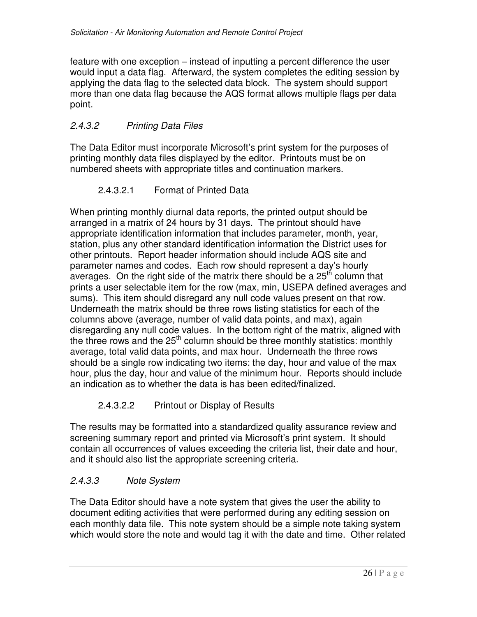feature with one exception – instead of inputting a percent difference the user would input a data flag. Afterward, the system completes the editing session by applying the data flag to the selected data block. The system should support more than one data flag because the AQS format allows multiple flags per data point.

### 2.4.3.2 Printing Data Files

The Data Editor must incorporate Microsoft's print system for the purposes of printing monthly data files displayed by the editor. Printouts must be on numbered sheets with appropriate titles and continuation markers.

### 2.4.3.2.1 Format of Printed Data

When printing monthly diurnal data reports, the printed output should be arranged in a matrix of 24 hours by 31 days. The printout should have appropriate identification information that includes parameter, month, year, station, plus any other standard identification information the District uses for other printouts. Report header information should include AQS site and parameter names and codes. Each row should represent a day's hourly averages. On the right side of the matrix there should be a  $25<sup>th</sup>$  column that prints a user selectable item for the row (max, min, USEPA defined averages and sums). This item should disregard any null code values present on that row. Underneath the matrix should be three rows listing statistics for each of the columns above (average, number of valid data points, and max), again disregarding any null code values. In the bottom right of the matrix, aligned with the three rows and the  $25<sup>th</sup>$  column should be three monthly statistics: monthly average, total valid data points, and max hour. Underneath the three rows should be a single row indicating two items: the day, hour and value of the max hour, plus the day, hour and value of the minimum hour. Reports should include an indication as to whether the data is has been edited/finalized.

### 2.4.3.2.2 Printout or Display of Results

The results may be formatted into a standardized quality assurance review and screening summary report and printed via Microsoft's print system. It should contain all occurrences of values exceeding the criteria list, their date and hour, and it should also list the appropriate screening criteria.

### 2.4.3.3 Note System

The Data Editor should have a note system that gives the user the ability to document editing activities that were performed during any editing session on each monthly data file. This note system should be a simple note taking system which would store the note and would tag it with the date and time. Other related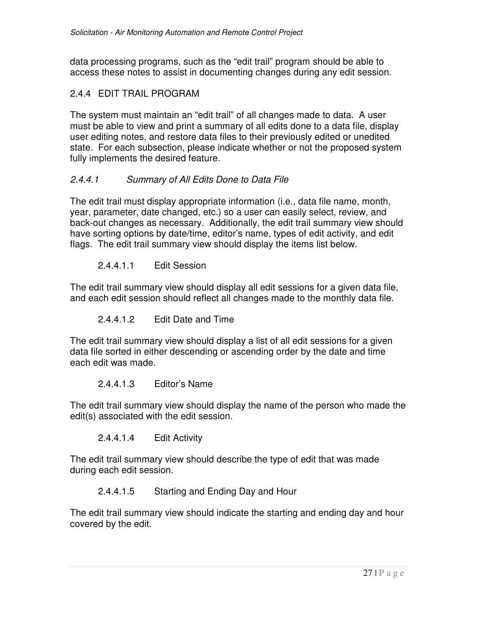data processing programs, such as the "edit trail" program should be able to access these notes to assist in documenting changes during any edit session.

### 2.4.4 EDIT TRAIL PROGRAM

The system must maintain an "edit trail" of all changes made to data. A user must be able to view and print a summary of all edits done to a data file, display user editing notes, and restore data files to their previously edited or unedited state. For each subsection, please indicate whether or not the proposed system fully implements the desired feature.

### 2.4.4.1 Summary of All Edits Done to Data File

The edit trail must display appropriate information (i.e., data file name, month, year, parameter, date changed, etc.) so a user can easily select, review, and back-out changes as necessary. Additionally, the edit trail summary view should have sorting options by date/time, editor's name, types of edit activity, and edit flags. The edit trail summary view should display the items list below.

2.4.4.1.1 Edit Session

The edit trail summary view should display all edit sessions for a given data file, and each edit session should reflect all changes made to the monthly data file.

2.4.4.1.2 Edit Date and Time

The edit trail summary view should display a list of all edit sessions for a given data file sorted in either descending or ascending order by the date and time each edit was made.

### 2.4.4.1.3 Editor's Name

The edit trail summary view should display the name of the person who made the edit(s) associated with the edit session.

### 2.4.4.1.4 Edit Activity

The edit trail summary view should describe the type of edit that was made during each edit session.

### 2.4.4.1.5 Starting and Ending Day and Hour

The edit trail summary view should indicate the starting and ending day and hour covered by the edit.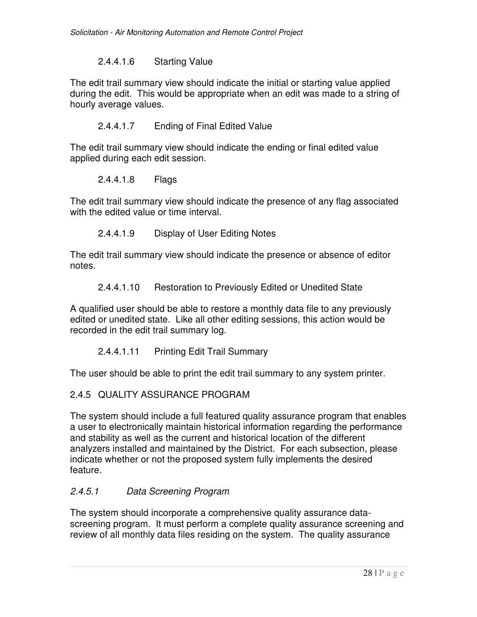#### 2.4.4.1.6 Starting Value

The edit trail summary view should indicate the initial or starting value applied during the edit. This would be appropriate when an edit was made to a string of hourly average values.

### 2.4.4.1.7 Ending of Final Edited Value

The edit trail summary view should indicate the ending or final edited value applied during each edit session.

2.4.4.1.8 Flags

The edit trail summary view should indicate the presence of any flag associated with the edited value or time interval.

#### 2.4.4.1.9 Display of User Editing Notes

The edit trail summary view should indicate the presence or absence of editor notes.

#### 2.4.4.1.10 Restoration to Previously Edited or Unedited State

A qualified user should be able to restore a monthly data file to any previously edited or unedited state. Like all other editing sessions, this action would be recorded in the edit trail summary log.

#### 2.4.4.1.11 Printing Edit Trail Summary

The user should be able to print the edit trail summary to any system printer.

### 2.4.5 QUALITY ASSURANCE PROGRAM

The system should include a full featured quality assurance program that enables a user to electronically maintain historical information regarding the performance and stability as well as the current and historical location of the different analyzers installed and maintained by the District. For each subsection, please indicate whether or not the proposed system fully implements the desired feature.

### 2.4.5.1 Data Screening Program

The system should incorporate a comprehensive quality assurance datascreening program. It must perform a complete quality assurance screening and review of all monthly data files residing on the system. The quality assurance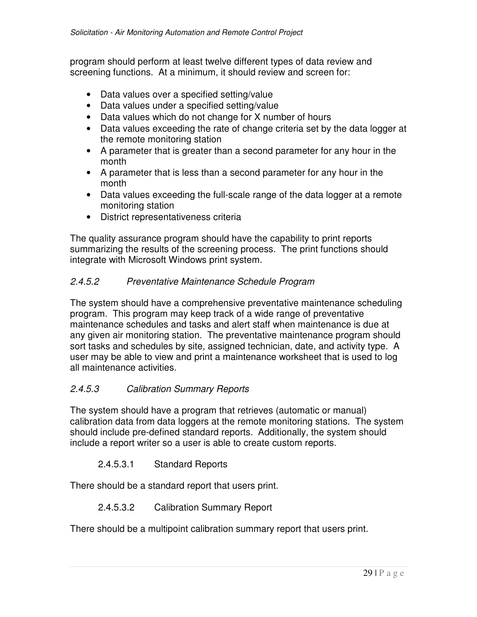program should perform at least twelve different types of data review and screening functions. At a minimum, it should review and screen for:

- Data values over a specified setting/value
- Data values under a specified setting/value
- Data values which do not change for X number of hours
- Data values exceeding the rate of change criteria set by the data logger at the remote monitoring station
- A parameter that is greater than a second parameter for any hour in the month
- A parameter that is less than a second parameter for any hour in the month
- Data values exceeding the full-scale range of the data logger at a remote monitoring station
- District representativeness criteria

The quality assurance program should have the capability to print reports summarizing the results of the screening process. The print functions should integrate with Microsoft Windows print system.

#### 2.4.5.2 Preventative Maintenance Schedule Program

The system should have a comprehensive preventative maintenance scheduling program. This program may keep track of a wide range of preventative maintenance schedules and tasks and alert staff when maintenance is due at any given air monitoring station. The preventative maintenance program should sort tasks and schedules by site, assigned technician, date, and activity type. A user may be able to view and print a maintenance worksheet that is used to log all maintenance activities.

#### 2.4.5.3 Calibration Summary Reports

The system should have a program that retrieves (automatic or manual) calibration data from data loggers at the remote monitoring stations. The system should include pre-defined standard reports. Additionally, the system should include a report writer so a user is able to create custom reports.

### 2.4.5.3.1 Standard Reports

There should be a standard report that users print.

### 2.4.5.3.2 Calibration Summary Report

There should be a multipoint calibration summary report that users print.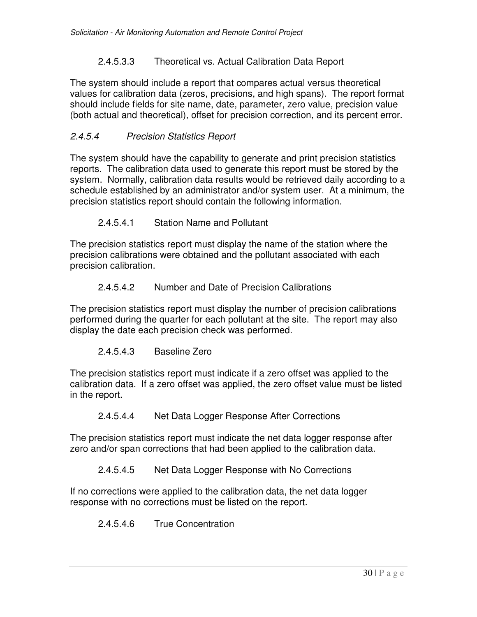### 2.4.5.3.3 Theoretical vs. Actual Calibration Data Report

The system should include a report that compares actual versus theoretical values for calibration data (zeros, precisions, and high spans). The report format should include fields for site name, date, parameter, zero value, precision value (both actual and theoretical), offset for precision correction, and its percent error.

### 2.4.5.4 Precision Statistics Report

The system should have the capability to generate and print precision statistics reports. The calibration data used to generate this report must be stored by the system. Normally, calibration data results would be retrieved daily according to a schedule established by an administrator and/or system user. At a minimum, the precision statistics report should contain the following information.

### 2.4.5.4.1 Station Name and Pollutant

The precision statistics report must display the name of the station where the precision calibrations were obtained and the pollutant associated with each precision calibration.

### 2.4.5.4.2 Number and Date of Precision Calibrations

The precision statistics report must display the number of precision calibrations performed during the quarter for each pollutant at the site. The report may also display the date each precision check was performed.

### 2.4.5.4.3 Baseline Zero

The precision statistics report must indicate if a zero offset was applied to the calibration data. If a zero offset was applied, the zero offset value must be listed in the report.

2.4.5.4.4 Net Data Logger Response After Corrections

The precision statistics report must indicate the net data logger response after zero and/or span corrections that had been applied to the calibration data.

2.4.5.4.5 Net Data Logger Response with No Corrections

If no corrections were applied to the calibration data, the net data logger response with no corrections must be listed on the report.

2.4.5.4.6 True Concentration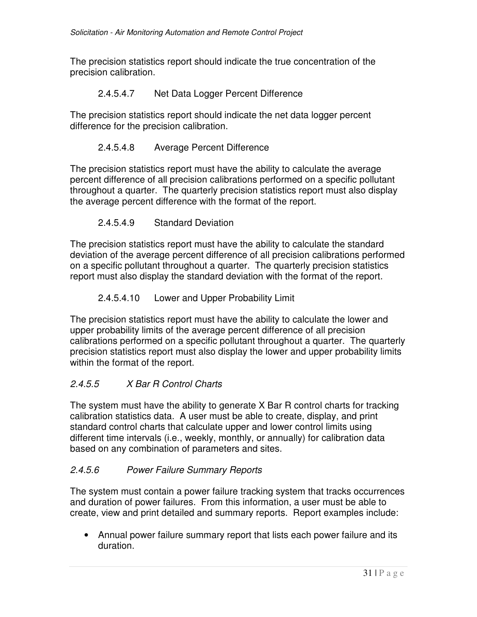The precision statistics report should indicate the true concentration of the precision calibration.

### 2.4.5.4.7 Net Data Logger Percent Difference

The precision statistics report should indicate the net data logger percent difference for the precision calibration.

### 2.4.5.4.8 Average Percent Difference

The precision statistics report must have the ability to calculate the average percent difference of all precision calibrations performed on a specific pollutant throughout a quarter. The quarterly precision statistics report must also display the average percent difference with the format of the report.

### 2.4.5.4.9 Standard Deviation

The precision statistics report must have the ability to calculate the standard deviation of the average percent difference of all precision calibrations performed on a specific pollutant throughout a quarter. The quarterly precision statistics report must also display the standard deviation with the format of the report.

### 2.4.5.4.10 Lower and Upper Probability Limit

The precision statistics report must have the ability to calculate the lower and upper probability limits of the average percent difference of all precision calibrations performed on a specific pollutant throughout a quarter. The quarterly precision statistics report must also display the lower and upper probability limits within the format of the report.

### 2.4.5.5 X Bar R Control Charts

The system must have the ability to generate X Bar R control charts for tracking calibration statistics data. A user must be able to create, display, and print standard control charts that calculate upper and lower control limits using different time intervals (i.e., weekly, monthly, or annually) for calibration data based on any combination of parameters and sites.

### 2.4.5.6 Power Failure Summary Reports

The system must contain a power failure tracking system that tracks occurrences and duration of power failures. From this information, a user must be able to create, view and print detailed and summary reports. Report examples include:

• Annual power failure summary report that lists each power failure and its duration.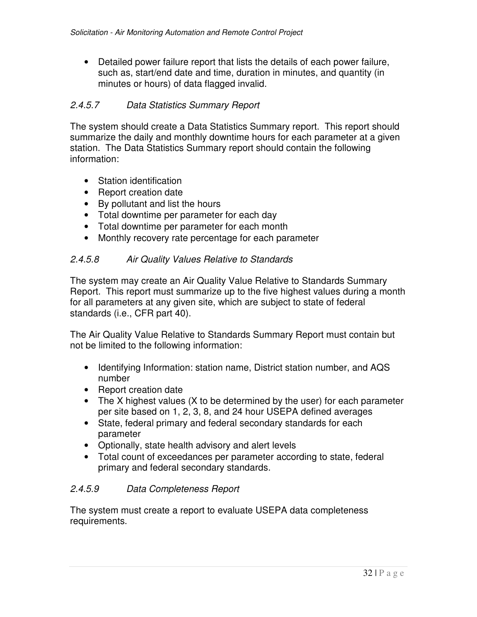• Detailed power failure report that lists the details of each power failure, such as, start/end date and time, duration in minutes, and quantity (in minutes or hours) of data flagged invalid.

### 2.4.5.7 Data Statistics Summary Report

The system should create a Data Statistics Summary report. This report should summarize the daily and monthly downtime hours for each parameter at a given station. The Data Statistics Summary report should contain the following information:

- Station identification
- Report creation date
- By pollutant and list the hours
- Total downtime per parameter for each day
- Total downtime per parameter for each month
- Monthly recovery rate percentage for each parameter

### 2.4.5.8 Air Quality Values Relative to Standards

The system may create an Air Quality Value Relative to Standards Summary Report. This report must summarize up to the five highest values during a month for all parameters at any given site, which are subject to state of federal standards (i.e., CFR part 40).

The Air Quality Value Relative to Standards Summary Report must contain but not be limited to the following information:

- Identifying Information: station name, District station number, and AQS number
- Report creation date
- The X highest values (X to be determined by the user) for each parameter per site based on 1, 2, 3, 8, and 24 hour USEPA defined averages
- State, federal primary and federal secondary standards for each parameter
- Optionally, state health advisory and alert levels
- Total count of exceedances per parameter according to state, federal primary and federal secondary standards.

### 2.4.5.9 Data Completeness Report

The system must create a report to evaluate USEPA data completeness requirements.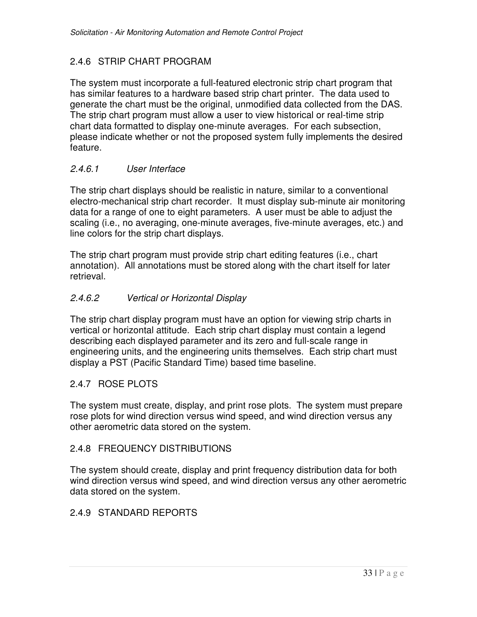### 2.4.6 STRIP CHART PROGRAM

The system must incorporate a full-featured electronic strip chart program that has similar features to a hardware based strip chart printer. The data used to generate the chart must be the original, unmodified data collected from the DAS. The strip chart program must allow a user to view historical or real-time strip chart data formatted to display one-minute averages. For each subsection, please indicate whether or not the proposed system fully implements the desired feature.

### 2.4.6.1 User Interface

The strip chart displays should be realistic in nature, similar to a conventional electro-mechanical strip chart recorder. It must display sub-minute air monitoring data for a range of one to eight parameters. A user must be able to adjust the scaling (i.e., no averaging, one-minute averages, five-minute averages, etc.) and line colors for the strip chart displays.

The strip chart program must provide strip chart editing features (i.e., chart annotation). All annotations must be stored along with the chart itself for later retrieval.

### 2.4.6.2 Vertical or Horizontal Display

The strip chart display program must have an option for viewing strip charts in vertical or horizontal attitude. Each strip chart display must contain a legend describing each displayed parameter and its zero and full-scale range in engineering units, and the engineering units themselves. Each strip chart must display a PST (Pacific Standard Time) based time baseline.

### 2.4.7 ROSE PLOTS

The system must create, display, and print rose plots. The system must prepare rose plots for wind direction versus wind speed, and wind direction versus any other aerometric data stored on the system.

#### 2.4.8 FREQUENCY DISTRIBUTIONS

The system should create, display and print frequency distribution data for both wind direction versus wind speed, and wind direction versus any other aerometric data stored on the system.

### 2.4.9 STANDARD REPORTS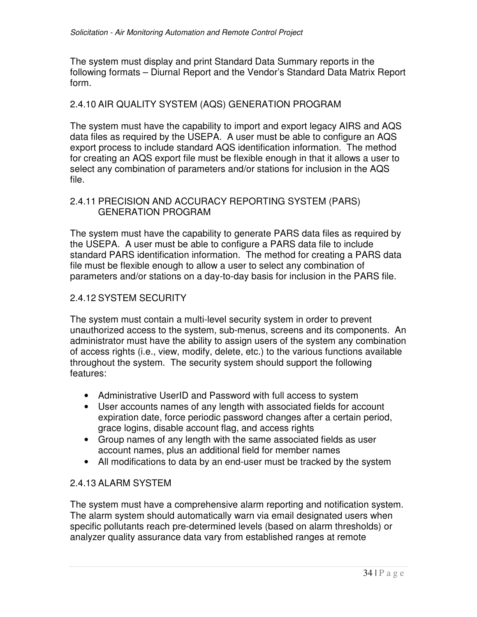The system must display and print Standard Data Summary reports in the following formats – Diurnal Report and the Vendor's Standard Data Matrix Report form.

### 2.4.10 AIR QUALITY SYSTEM (AQS) GENERATION PROGRAM

The system must have the capability to import and export legacy AIRS and AQS data files as required by the USEPA. A user must be able to configure an AQS export process to include standard AQS identification information. The method for creating an AQS export file must be flexible enough in that it allows a user to select any combination of parameters and/or stations for inclusion in the AQS file.

#### 2.4.11 PRECISION AND ACCURACY REPORTING SYSTEM (PARS) GENERATION PROGRAM

The system must have the capability to generate PARS data files as required by the USEPA. A user must be able to configure a PARS data file to include standard PARS identification information. The method for creating a PARS data file must be flexible enough to allow a user to select any combination of parameters and/or stations on a day-to-day basis for inclusion in the PARS file.

### 2.4.12 SYSTEM SECURITY

The system must contain a multi-level security system in order to prevent unauthorized access to the system, sub-menus, screens and its components. An administrator must have the ability to assign users of the system any combination of access rights (i.e., view, modify, delete, etc.) to the various functions available throughout the system. The security system should support the following features:

- Administrative UserID and Password with full access to system
- User accounts names of any length with associated fields for account expiration date, force periodic password changes after a certain period, grace logins, disable account flag, and access rights
- Group names of any length with the same associated fields as user account names, plus an additional field for member names
- All modifications to data by an end-user must be tracked by the system

### 2.4.13 ALARM SYSTEM

The system must have a comprehensive alarm reporting and notification system. The alarm system should automatically warn via email designated users when specific pollutants reach pre-determined levels (based on alarm thresholds) or analyzer quality assurance data vary from established ranges at remote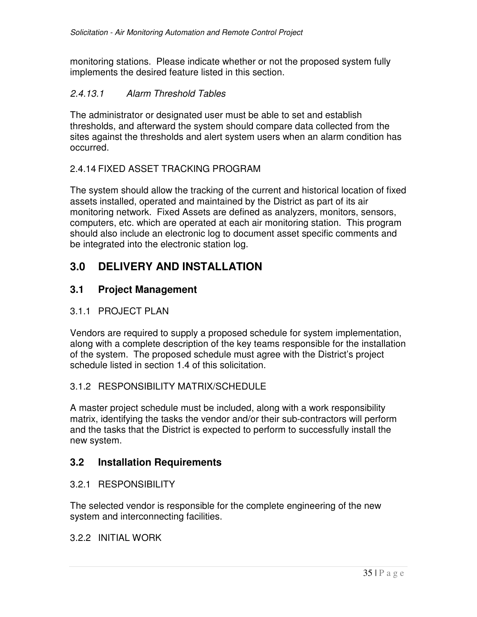monitoring stations. Please indicate whether or not the proposed system fully implements the desired feature listed in this section.

### 2.4.13.1 Alarm Threshold Tables

The administrator or designated user must be able to set and establish thresholds, and afterward the system should compare data collected from the sites against the thresholds and alert system users when an alarm condition has occurred.

### 2.4.14 FIXED ASSET TRACKING PROGRAM

The system should allow the tracking of the current and historical location of fixed assets installed, operated and maintained by the District as part of its air monitoring network. Fixed Assets are defined as analyzers, monitors, sensors, computers, etc. which are operated at each air monitoring station. This program should also include an electronic log to document asset specific comments and be integrated into the electronic station log.

# **3.0 DELIVERY AND INSTALLATION**

## **3.1 Project Management**

### 3.1.1 PROJECT PLAN

Vendors are required to supply a proposed schedule for system implementation, along with a complete description of the key teams responsible for the installation of the system. The proposed schedule must agree with the District's project schedule listed in section 1.4 of this solicitation.

### 3.1.2 RESPONSIBILITY MATRIX/SCHEDULE

A master project schedule must be included, along with a work responsibility matrix, identifying the tasks the vendor and/or their sub-contractors will perform and the tasks that the District is expected to perform to successfully install the new system.

### **3.2 Installation Requirements**

### 3.2.1 RESPONSIBILITY

The selected vendor is responsible for the complete engineering of the new system and interconnecting facilities.

### 3.2.2 INITIAL WORK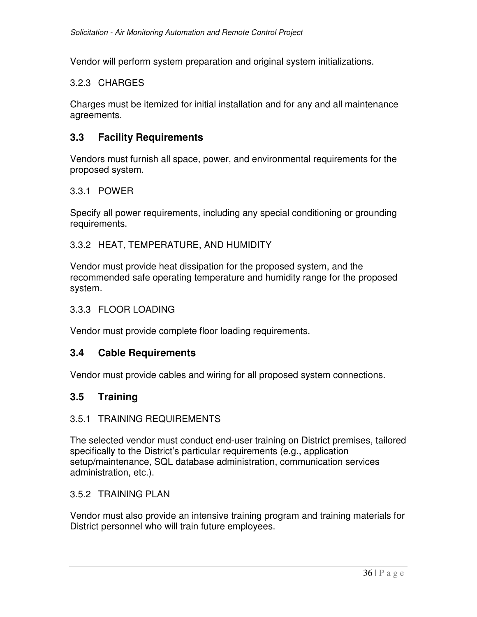Vendor will perform system preparation and original system initializations.

### 3.2.3 CHARGES

Charges must be itemized for initial installation and for any and all maintenance agreements.

### **3.3 Facility Requirements**

Vendors must furnish all space, power, and environmental requirements for the proposed system.

#### 3.3.1 POWER

Specify all power requirements, including any special conditioning or grounding requirements.

### 3.3.2 HEAT, TEMPERATURE, AND HUMIDITY

Vendor must provide heat dissipation for the proposed system, and the recommended safe operating temperature and humidity range for the proposed system.

#### 3.3.3 FLOOR LOADING

Vendor must provide complete floor loading requirements.

### **3.4 Cable Requirements**

Vendor must provide cables and wiring for all proposed system connections.

### **3.5 Training**

#### 3.5.1 TRAINING REQUIREMENTS

The selected vendor must conduct end-user training on District premises, tailored specifically to the District's particular requirements (e.g., application setup/maintenance, SQL database administration, communication services administration, etc.).

### 3.5.2 TRAINING PLAN

Vendor must also provide an intensive training program and training materials for District personnel who will train future employees.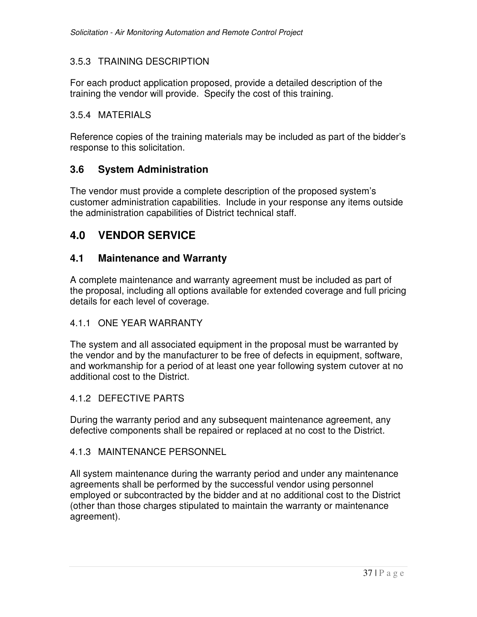### 3.5.3 TRAINING DESCRIPTION

For each product application proposed, provide a detailed description of the training the vendor will provide. Specify the cost of this training.

#### 3.5.4 MATERIALS

Reference copies of the training materials may be included as part of the bidder's response to this solicitation.

### **3.6 System Administration**

The vendor must provide a complete description of the proposed system's customer administration capabilities. Include in your response any items outside the administration capabilities of District technical staff.

# **4.0 VENDOR SERVICE**

### **4.1 Maintenance and Warranty**

A complete maintenance and warranty agreement must be included as part of the proposal, including all options available for extended coverage and full pricing details for each level of coverage.

#### 4.1.1 ONE YEAR WARRANTY

The system and all associated equipment in the proposal must be warranted by the vendor and by the manufacturer to be free of defects in equipment, software, and workmanship for a period of at least one year following system cutover at no additional cost to the District.

#### 4.1.2 DEFECTIVE PARTS

During the warranty period and any subsequent maintenance agreement, any defective components shall be repaired or replaced at no cost to the District.

#### 4.1.3 MAINTENANCE PERSONNEL

All system maintenance during the warranty period and under any maintenance agreements shall be performed by the successful vendor using personnel employed or subcontracted by the bidder and at no additional cost to the District (other than those charges stipulated to maintain the warranty or maintenance agreement).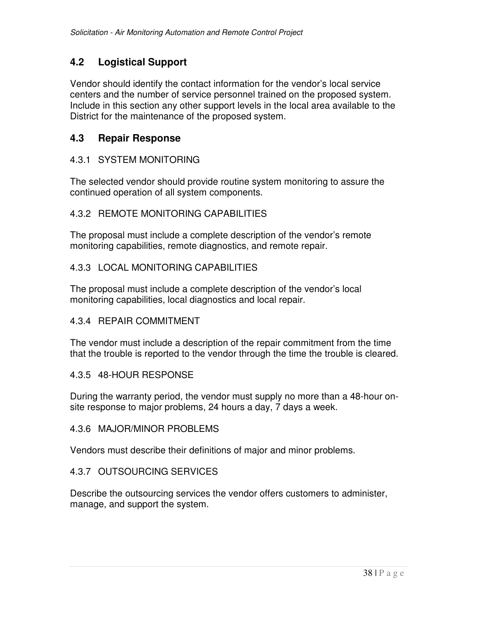# **4.2 Logistical Support**

Vendor should identify the contact information for the vendor's local service centers and the number of service personnel trained on the proposed system. Include in this section any other support levels in the local area available to the District for the maintenance of the proposed system.

### **4.3 Repair Response**

### 4.3.1 SYSTEM MONITORING

The selected vendor should provide routine system monitoring to assure the continued operation of all system components.

#### 4.3.2 REMOTE MONITORING CAPABILITIES

The proposal must include a complete description of the vendor's remote monitoring capabilities, remote diagnostics, and remote repair.

#### 4.3.3 LOCAL MONITORING CAPABILITIES

The proposal must include a complete description of the vendor's local monitoring capabilities, local diagnostics and local repair.

#### 4.3.4 REPAIR COMMITMENT

The vendor must include a description of the repair commitment from the time that the trouble is reported to the vendor through the time the trouble is cleared.

#### 4.3.5 48-HOUR RESPONSE

During the warranty period, the vendor must supply no more than a 48-hour onsite response to major problems, 24 hours a day, 7 days a week.

#### 4.3.6 MAJOR/MINOR PROBLEMS

Vendors must describe their definitions of major and minor problems.

### 4.3.7 OUTSOURCING SERVICES

Describe the outsourcing services the vendor offers customers to administer, manage, and support the system.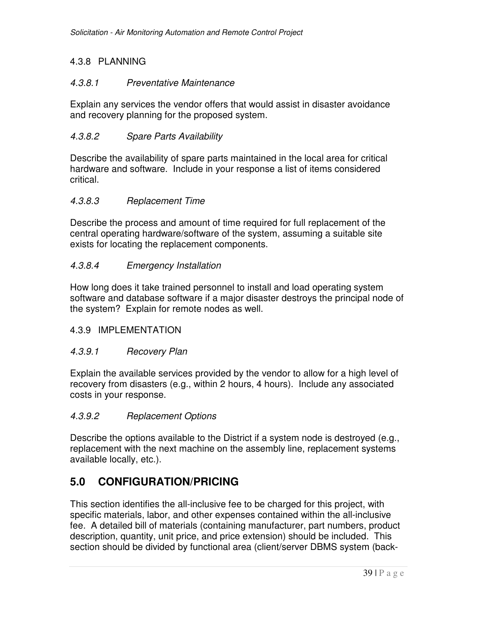### 4.3.8 PLANNING

#### 4.3.8.1 Preventative Maintenance

Explain any services the vendor offers that would assist in disaster avoidance and recovery planning for the proposed system.

#### 4.3.8.2 Spare Parts Availability

Describe the availability of spare parts maintained in the local area for critical hardware and software. Include in your response a list of items considered critical.

#### 4.3.8.3 Replacement Time

Describe the process and amount of time required for full replacement of the central operating hardware/software of the system, assuming a suitable site exists for locating the replacement components.

#### 4.3.8.4 Emergency Installation

How long does it take trained personnel to install and load operating system software and database software if a major disaster destroys the principal node of the system? Explain for remote nodes as well.

#### 4.3.9 IMPLEMENTATION

#### 4.3.9.1 Recovery Plan

Explain the available services provided by the vendor to allow for a high level of recovery from disasters (e.g., within 2 hours, 4 hours). Include any associated costs in your response.

#### 4.3.9.2 Replacement Options

Describe the options available to the District if a system node is destroyed (e.g., replacement with the next machine on the assembly line, replacement systems available locally, etc.).

# **5.0 CONFIGURATION/PRICING**

This section identifies the all-inclusive fee to be charged for this project, with specific materials, labor, and other expenses contained within the all-inclusive fee. A detailed bill of materials (containing manufacturer, part numbers, product description, quantity, unit price, and price extension) should be included. This section should be divided by functional area (client/server DBMS system (back